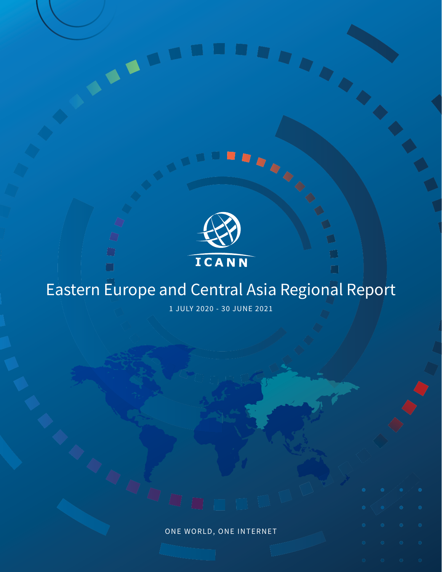

 $\overline{\mathbb{Q}}$ 

 $\bigcirc$  $\Box$ 

 $\Box$ 

# Eastern Europe and Central Asia Regional Report

n

1 JULY 2020 - 30 JUNE 2021

ONE WORLD, ONE INTERNET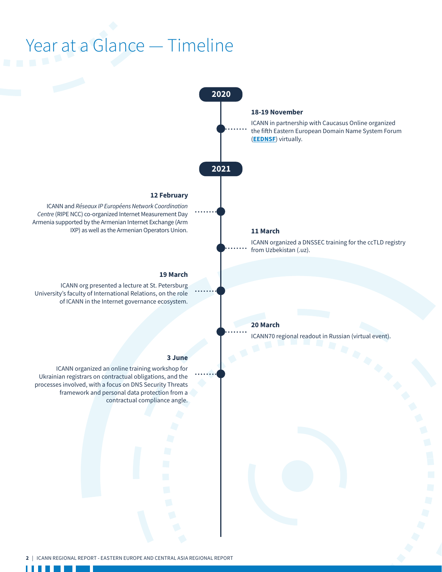# Year at a Glance — Timeline

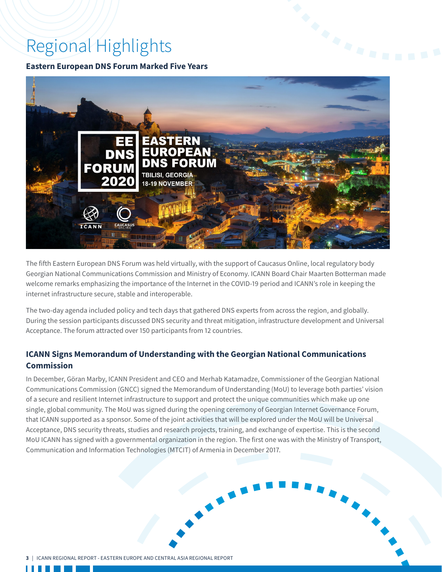# Regional Highlights

**Eastern European DNS Forum Marked Five Years**



The fifth Eastern European DNS Forum was held virtually, with the support of Caucasus Online, local regulatory body Georgian National Communications Commission and Ministry of Economy. ICANN Board Chair Maarten Botterman made welcome remarks emphasizing the importance of the Internet in the COVID-19 period and ICANN's role in keeping the internet infrastructure secure, stable and interoperable.

The two-day agenda included policy and tech days that gathered DNS experts from across the region, and globally. During the session participants discussed DNS security and threat mitigation, infrastructure development and Universal Acceptance. The forum attracted over 150 participants from 12 countries.

# **ICANN Signs Memorandum of Understanding with the Georgian National Communications Commission**

In December, Göran Marby, ICANN President and CEO and Merhab Katamadze, Commissioner of the Georgian National Communications Commission (GNCC) signed the Memorandum of Understanding (MoU) to leverage both parties' vision of a secure and resilient Internet infrastructure to support and protect the unique communities which make up one single, global community. The MoU was signed during the opening ceremony of Georgian Internet Governance Forum, that ICANN supported as a sponsor. Some of the joint activities that will be explored under the MoU will be Universal Acceptance, DNS security threats, studies and research projects, training, and exchange of expertise. This is the second MoU ICANN has signed with a governmental organization in the region. The first one was with the Ministry of Transport, Communication and Information Technologies (MTCIT) of Armenia in December 2017.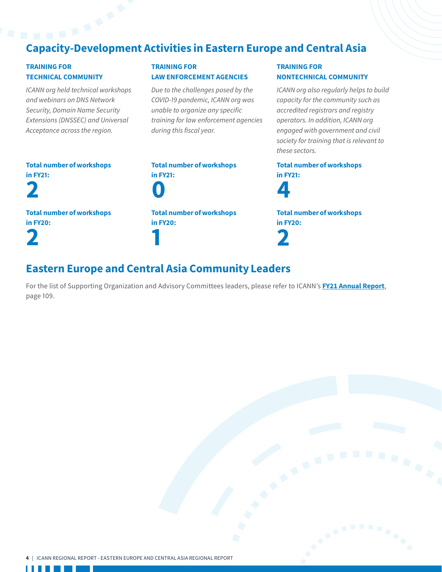# Capacity-Development Activities in Eastern Europe and Central Asia

## TRAINING FOR TECHNICAL COMMUNITY

*ICANN org held technical workshops and webinars on DNS Network Security, Domain Name Security Extensions (DNSSEC) and Universal Acceptance across the region.*

# TRAINING FOR LAW ENFORCEMENT AGENCIES

*Due to the challenges posed by the COVID-19 pandemic, ICANN org was unable to organize any specific training for law enforcement agencies during this fiscal year.*

## TRAINING FOR NONTECHNICAL COMMUNITY

*ICANN org also regularly helps to build capacity for the community such as accredited registrars and registry operators. In addition, ICANN org engaged with government and civil society for training that is relevant to these sectors.*

| <b>Total number of workshops</b><br>in <b>FY21:</b><br>2 | <b>Total numb</b><br>in <b>FY21:</b><br>$\overline{\mathbf{0}}$ |
|----------------------------------------------------------|-----------------------------------------------------------------|
| <b>Total number of workshops</b>                         | <b>Total numb</b>                                               |
| in <b>FY20</b> :                                         | in <b>FY20</b> :                                                |
| 2                                                        |                                                                 |

er of workshops er of workshops

# Total number of workshops in FY21:



Total number of workshops in FY20: 2

# Eastern Europe and Central Asia Community Leaders

For the list of Supporting Organization and Advisory Committees leaders, please refer to ICANN's **[FY21 Annual Report](https://www.icann.org/en/system/files/files/annual-report-2021-en.pdf)**, page 109.

a kalendar